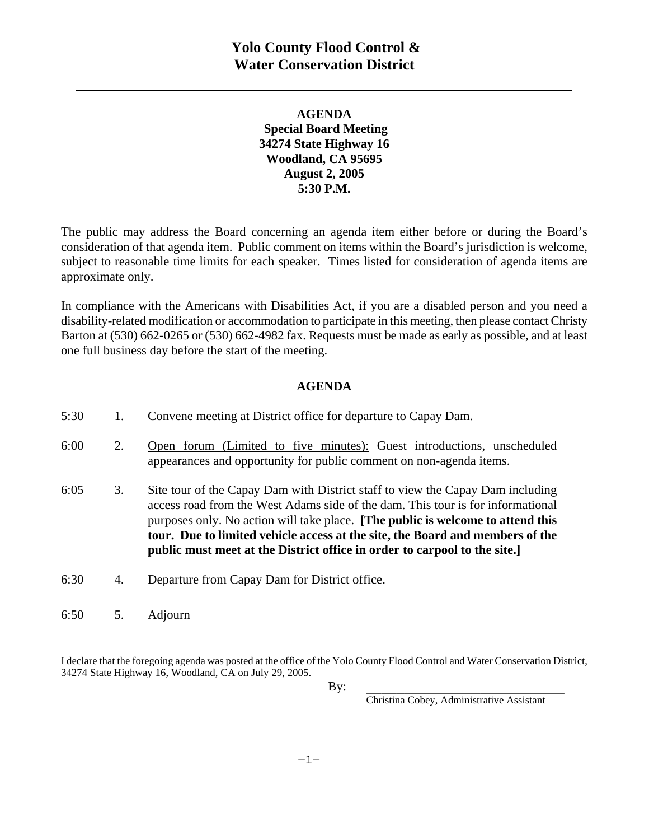**AGENDA Special Board Meeting 34274 State Highway 16 Woodland, CA 95695 August 2, 2005 5:30 P.M.** 

The public may address the Board concerning an agenda item either before or during the Board's consideration of that agenda item. Public comment on items within the Board's jurisdiction is welcome, subject to reasonable time limits for each speaker. Times listed for consideration of agenda items are approximate only.

In compliance with the Americans with Disabilities Act, if you are a disabled person and you need a disability-related modification or accommodation to participate in this meeting, then please contact Christy Barton at (530) 662-0265 or (530) 662-4982 fax. Requests must be made as early as possible, and at least one full business day before the start of the meeting.

## **AGENDA**

| 5:30 |    | Convene meeting at District office for departure to Capay Dam.                                                                                                                                                                                                                                                                                                                                                          |
|------|----|-------------------------------------------------------------------------------------------------------------------------------------------------------------------------------------------------------------------------------------------------------------------------------------------------------------------------------------------------------------------------------------------------------------------------|
| 6:00 | 2. | Open forum (Limited to five minutes): Guest introductions, unscheduled<br>appearances and opportunity for public comment on non-agenda items.                                                                                                                                                                                                                                                                           |
| 6:05 | 3. | Site tour of the Capay Dam with District staff to view the Capay Dam including<br>access road from the West Adams side of the dam. This tour is for informational<br>purposes only. No action will take place. <b>The public is welcome to attend this</b><br>tour. Due to limited vehicle access at the site, the Board and members of the<br>public must meet at the District office in order to carpool to the site. |
| 6:30 | 4. | Departure from Capay Dam for District office.                                                                                                                                                                                                                                                                                                                                                                           |
| 6:50 | 5. | Adjourn                                                                                                                                                                                                                                                                                                                                                                                                                 |

I declare that the foregoing agenda was posted at the office of the Yolo County Flood Control and Water Conservation District, 34274 State Highway 16, Woodland, CA on July 29, 2005.

 $\mathbf{By:}$ 

Christina Cobey, Administrative Assistant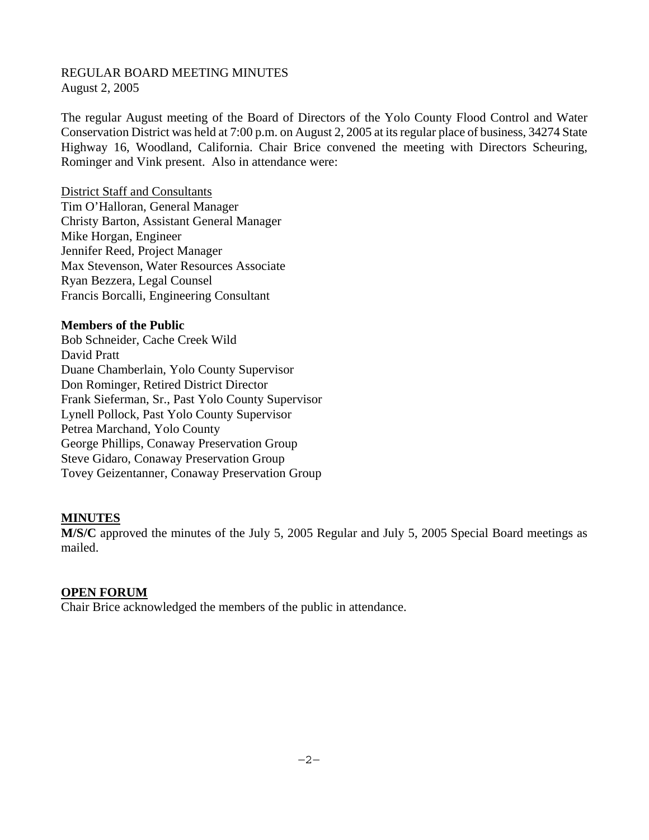#### REGULAR BOARD MEETING MINUTES August 2, 2005

The regular August meeting of the Board of Directors of the Yolo County Flood Control and Water Conservation District was held at 7:00 p.m. on August 2, 2005 at its regular place of business, 34274 State Highway 16, Woodland, California. Chair Brice convened the meeting with Directors Scheuring, Rominger and Vink present. Also in attendance were:

District Staff and Consultants Tim O'Halloran, General Manager Christy Barton, Assistant General Manager Mike Horgan, Engineer Jennifer Reed, Project Manager Max Stevenson, Water Resources Associate Ryan Bezzera, Legal Counsel Francis Borcalli, Engineering Consultant

## **Members of the Public**

Bob Schneider, Cache Creek Wild David Pratt Duane Chamberlain, Yolo County Supervisor Don Rominger, Retired District Director Frank Sieferman, Sr., Past Yolo County Supervisor Lynell Pollock, Past Yolo County Supervisor Petrea Marchand, Yolo County George Phillips, Conaway Preservation Group Steve Gidaro, Conaway Preservation Group Tovey Geizentanner, Conaway Preservation Group

## **MINUTES**

**M/S/C** approved the minutes of the July 5, 2005 Regular and July 5, 2005 Special Board meetings as mailed.

## **OPEN FORUM**

Chair Brice acknowledged the members of the public in attendance.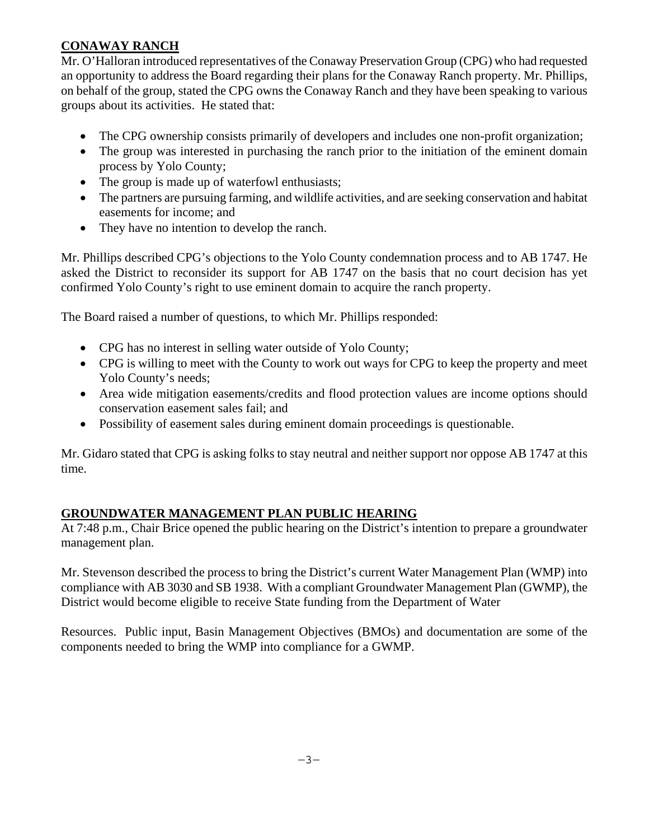# **CONAWAY RANCH**

Mr. O'Halloran introduced representatives of the Conaway Preservation Group (CPG) who had requested an opportunity to address the Board regarding their plans for the Conaway Ranch property. Mr. Phillips, on behalf of the group, stated the CPG owns the Conaway Ranch and they have been speaking to various groups about its activities. He stated that:

- The CPG ownership consists primarily of developers and includes one non-profit organization;
- The group was interested in purchasing the ranch prior to the initiation of the eminent domain process by Yolo County;
- The group is made up of waterfowl enthusiasts;
- The partners are pursuing farming, and wildlife activities, and are seeking conservation and habitat easements for income; and
- They have no intention to develop the ranch.

Mr. Phillips described CPG's objections to the Yolo County condemnation process and to AB 1747. He asked the District to reconsider its support for AB 1747 on the basis that no court decision has yet confirmed Yolo County's right to use eminent domain to acquire the ranch property.

The Board raised a number of questions, to which Mr. Phillips responded:

- CPG has no interest in selling water outside of Yolo County;
- CPG is willing to meet with the County to work out ways for CPG to keep the property and meet Yolo County's needs;
- Area wide mitigation easements/credits and flood protection values are income options should conservation easement sales fail; and
- Possibility of easement sales during eminent domain proceedings is questionable.

Mr. Gidaro stated that CPG is asking folks to stay neutral and neither support nor oppose AB 1747 at this time.

## **GROUNDWATER MANAGEMENT PLAN PUBLIC HEARING**

At 7:48 p.m., Chair Brice opened the public hearing on the District's intention to prepare a groundwater management plan.

Mr. Stevenson described the process to bring the District's current Water Management Plan (WMP) into compliance with AB 3030 and SB 1938. With a compliant Groundwater Management Plan (GWMP), the District would become eligible to receive State funding from the Department of Water

Resources. Public input, Basin Management Objectives (BMOs) and documentation are some of the components needed to bring the WMP into compliance for a GWMP.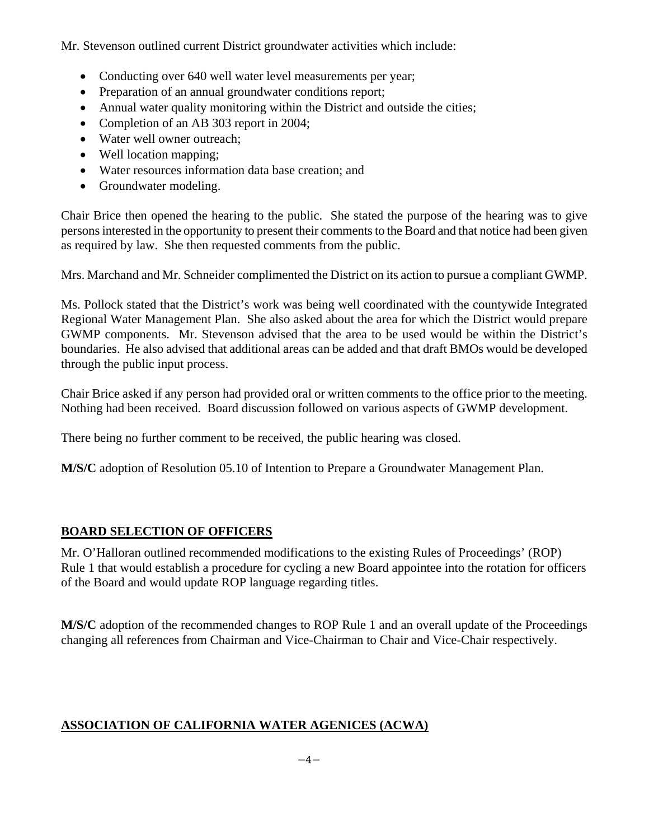Mr. Stevenson outlined current District groundwater activities which include:

- Conducting over 640 well water level measurements per year;
- Preparation of an annual groundwater conditions report;
- Annual water quality monitoring within the District and outside the cities;
- Completion of an AB 303 report in 2004;
- Water well owner outreach;
- Well location mapping;
- Water resources information data base creation; and
- Groundwater modeling.

Chair Brice then opened the hearing to the public. She stated the purpose of the hearing was to give persons interested in the opportunity to present their comments to the Board and that notice had been given as required by law. She then requested comments from the public.

Mrs. Marchand and Mr. Schneider complimented the District on its action to pursue a compliant GWMP.

Ms. Pollock stated that the District's work was being well coordinated with the countywide Integrated Regional Water Management Plan. She also asked about the area for which the District would prepare GWMP components. Mr. Stevenson advised that the area to be used would be within the District's boundaries. He also advised that additional areas can be added and that draft BMOs would be developed through the public input process.

Chair Brice asked if any person had provided oral or written comments to the office prior to the meeting. Nothing had been received. Board discussion followed on various aspects of GWMP development.

There being no further comment to be received, the public hearing was closed.

**M/S/C** adoption of Resolution 05.10 of Intention to Prepare a Groundwater Management Plan.

## **BOARD SELECTION OF OFFICERS**

Mr. O'Halloran outlined recommended modifications to the existing Rules of Proceedings' (ROP) Rule 1 that would establish a procedure for cycling a new Board appointee into the rotation for officers of the Board and would update ROP language regarding titles.

**M/S/C** adoption of the recommended changes to ROP Rule 1 and an overall update of the Proceedings changing all references from Chairman and Vice-Chairman to Chair and Vice-Chair respectively.

# **ASSOCIATION OF CALIFORNIA WATER AGENICES (ACWA)**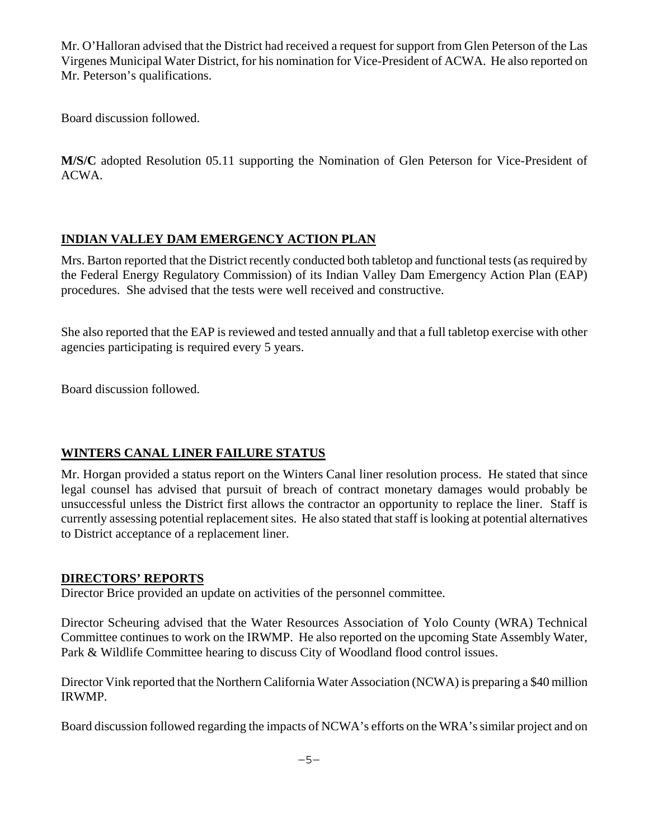Mr. O'Halloran advised that the District had received a request for support from Glen Peterson of the Las Virgenes Municipal Water District, for his nomination for Vice-President of ACWA. He also reported on Mr. Peterson's qualifications.

Board discussion followed.

**M/S/C** adopted Resolution 05.11 supporting the Nomination of Glen Peterson for Vice-President of ACWA.

## **INDIAN VALLEY DAM EMERGENCY ACTION PLAN**

Mrs. Barton reported that the District recently conducted both tabletop and functional tests (as required by the Federal Energy Regulatory Commission) of its Indian Valley Dam Emergency Action Plan (EAP) procedures. She advised that the tests were well received and constructive.

She also reported that the EAP is reviewed and tested annually and that a full tabletop exercise with other agencies participating is required every 5 years.

Board discussion followed.

## **WINTERS CANAL LINER FAILURE STATUS**

Mr. Horgan provided a status report on the Winters Canal liner resolution process. He stated that since legal counsel has advised that pursuit of breach of contract monetary damages would probably be unsuccessful unless the District first allows the contractor an opportunity to replace the liner. Staff is currently assessing potential replacement sites. He also stated that staff is looking at potential alternatives to District acceptance of a replacement liner.

## **DIRECTORS' REPORTS**

Director Brice provided an update on activities of the personnel committee.

Director Scheuring advised that the Water Resources Association of Yolo County (WRA) Technical Committee continues to work on the IRWMP. He also reported on the upcoming State Assembly Water, Park & Wildlife Committee hearing to discuss City of Woodland flood control issues.

Director Vink reported that the Northern California Water Association (NCWA) is preparing a \$40 million IRWMP.

Board discussion followed regarding the impacts of NCWA's efforts on the WRA's similar project and on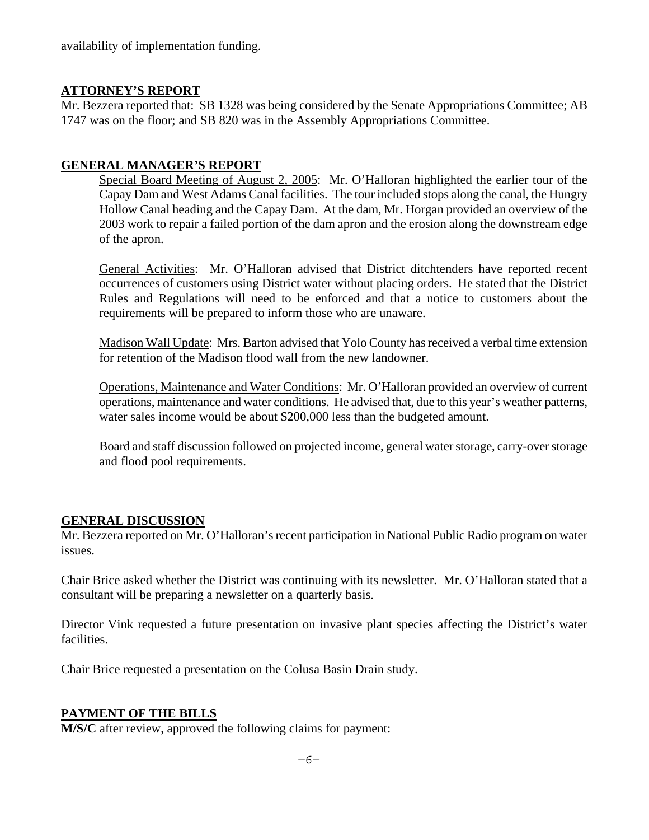availability of implementation funding.

## **ATTORNEY'S REPORT**

Mr. Bezzera reported that: SB 1328 was being considered by the Senate Appropriations Committee; AB 1747 was on the floor; and SB 820 was in the Assembly Appropriations Committee.

## **GENERAL MANAGER'S REPORT**

Special Board Meeting of August 2, 2005: Mr. O'Halloran highlighted the earlier tour of the Capay Dam and West Adams Canal facilities. The tour included stops along the canal, the Hungry Hollow Canal heading and the Capay Dam. At the dam, Mr. Horgan provided an overview of the 2003 work to repair a failed portion of the dam apron and the erosion along the downstream edge of the apron.

General Activities: Mr. O'Halloran advised that District ditchtenders have reported recent occurrences of customers using District water without placing orders. He stated that the District Rules and Regulations will need to be enforced and that a notice to customers about the requirements will be prepared to inform those who are unaware.

Madison Wall Update: Mrs. Barton advised that Yolo County has received a verbal time extension for retention of the Madison flood wall from the new landowner.

Operations, Maintenance and Water Conditions: Mr. O'Halloran provided an overview of current operations, maintenance and water conditions. He advised that, due to this year's weather patterns, water sales income would be about \$200,000 less than the budgeted amount.

Board and staff discussion followed on projected income, general water storage, carry-over storage and flood pool requirements.

## **GENERAL DISCUSSION**

Mr. Bezzera reported on Mr. O'Halloran's recent participation in National Public Radio program on water issues.

Chair Brice asked whether the District was continuing with its newsletter. Mr. O'Halloran stated that a consultant will be preparing a newsletter on a quarterly basis.

Director Vink requested a future presentation on invasive plant species affecting the District's water facilities.

Chair Brice requested a presentation on the Colusa Basin Drain study.

## **PAYMENT OF THE BILLS**

**M/S/C** after review, approved the following claims for payment: